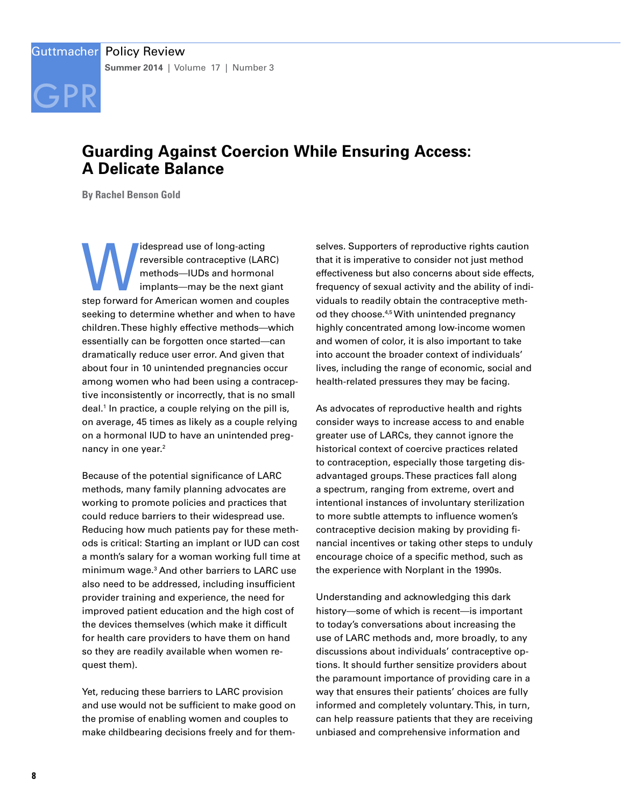

# **Guarding Against Coercion While Ensuring Access: A Delicate Balance**

**By Rachel Benson Gold**

Idespread use of long-acting<br>
reversible contraceptive (LARC)<br>
methods—IUDs and hormonal<br>
implants—may be the next giant<br>
step forward for American women and couples reversible contraceptive (LARC) methods—IUDs and hormonal implants—may be the next giant seeking to determine whether and when to have children. These highly effective methods—which essentially can be forgotten once started—can dramatically reduce user error. And given that about four in 10 unintended pregnancies occur among women who had been using a contraceptive inconsistently or incorrectly, that is no small deal.1 In practice, a couple relying on the pill is, on average, 45 times as likely as a couple relying on a hormonal IUD to have an unintended pregnancy in one year.<sup>2</sup>

Because of the potential significance of LARC methods, many family planning advocates are working to promote policies and practices that could reduce barriers to their widespread use. Reducing how much patients pay for these methods is critical: Starting an implant or IUD can cost a month's salary for a woman working full time at minimum wage.3 And other barriers to LARC use also need to be addressed, including insufficient provider training and experience, the need for improved patient education and the high cost of the devices themselves (which make it difficult for health care providers to have them on hand so they are readily available when women request them).

Yet, reducing these barriers to LARC provision and use would not be sufficient to make good on the promise of enabling women and couples to make childbearing decisions freely and for them-

selves. Supporters of reproductive rights caution that it is imperative to consider not just method effectiveness but also concerns about side effects, frequency of sexual activity and the ability of individuals to readily obtain the contraceptive method they choose.<sup>4,5</sup> With unintended pregnancy highly concentrated among low-income women and women of color, it is also important to take into account the broader context of individuals' lives, including the range of economic, social and health-related pressures they may be facing.

As advocates of reproductive health and rights consider ways to increase access to and enable greater use of LARCs, they cannot ignore the historical context of coercive practices related to contraception, especially those targeting disadvantaged groups. These practices fall along a spectrum, ranging from extreme, overt and intentional instances of involuntary sterilization to more subtle attempts to influence women's contraceptive decision making by providing financial incentives or taking other steps to unduly encourage choice of a specific method, such as the experience with Norplant in the 1990s.

Understanding and acknowledging this dark history—some of which is recent—is important to today's conversations about increasing the use of LARC methods and, more broadly, to any discussions about individuals' contraceptive options. It should further sensitize providers about the paramount importance of providing care in a way that ensures their patients' choices are fully informed and completely voluntary. This, in turn, can help reassure patients that they are receiving unbiased and comprehensive information and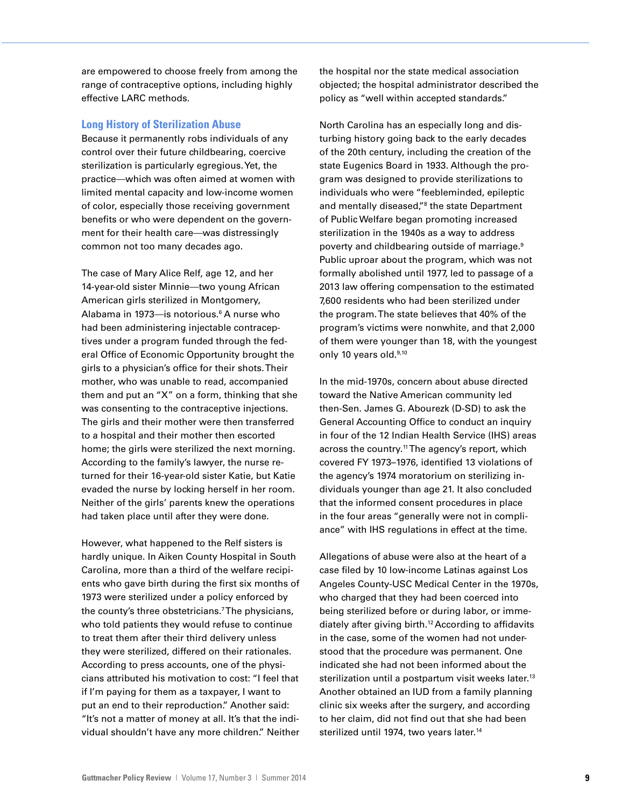are empowered to choose freely from among the range of contraceptive options, including highly effective LARC methods.

## **Long History of Sterilization Abuse**

Because it permanently robs individuals of any control over their future childbearing, coercive sterilization is particularly egregious. Yet, the practice—which was often aimed at women with limited mental capacity and low-income women of color, especially those receiving government benefits or who were dependent on the government for their health care—was distressingly common not too many decades ago.

The case of Mary Alice Relf, age 12, and her 14-year-old sister Minnie—two young African American girls sterilized in Montgomery, Alabama in 1973—is notorious.<sup>6</sup> A nurse who had been administering injectable contraceptives under a program funded through the federal Office of Economic Opportunity brought the girls to a physician's office for their shots. Their mother, who was unable to read, accompanied them and put an "X" on a form, thinking that she was consenting to the contraceptive injections. The girls and their mother were then transferred to a hospital and their mother then escorted home; the girls were sterilized the next morning. According to the family's lawyer, the nurse returned for their 16-year-old sister Katie, but Katie evaded the nurse by locking herself in her room. Neither of the girls' parents knew the operations had taken place until after they were done.

However, what happened to the Relf sisters is hardly unique. In Aiken County Hospital in South Carolina, more than a third of the welfare recipients who gave birth during the first six months of 1973 were sterilized under a policy enforced by the county's three obstetricians.7 The physicians, who told patients they would refuse to continue to treat them after their third delivery unless they were sterilized, differed on their rationales. According to press accounts, one of the physicians attributed his motivation to cost: "I feel that if I'm paying for them as a taxpayer, I want to put an end to their reproduction." Another said: "It's not a matter of money at all. It's that the individual shouldn't have any more children." Neither the hospital nor the state medical association objected; the hospital administrator described the policy as "well within accepted standards."

North Carolina has an especially long and disturbing history going back to the early decades of the 20th century, including the creation of the state Eugenics Board in 1933. Although the program was designed to provide sterilizations to individuals who were "feebleminded, epileptic and mentally diseased,"<sup>8</sup> the state Department of Public Welfare began promoting increased sterilization in the 1940s as a way to address poverty and childbearing outside of marriage.9 Public uproar about the program, which was not formally abolished until 1977, led to passage of a 2013 law offering compensation to the estimated 7,600 residents who had been sterilized under the program. The state believes that 40% of the program's victims were nonwhite, and that 2,000 of them were younger than 18, with the youngest only 10 years old.<sup>9,10</sup>

In the mid-1970s, concern about abuse directed toward the Native American community led then-Sen. James G. Abourezk (D-SD) to ask the General Accounting Office to conduct an inquiry in four of the 12 Indian Health Service (IHS) areas across the country.<sup>11</sup> The agency's report, which covered FY 1973–1976, identified 13 violations of the agency's 1974 moratorium on sterilizing individuals younger than age 21. It also concluded that the informed consent procedures in place in the four areas "generally were not in compliance" with IHS regulations in effect at the time.

Allegations of abuse were also at the heart of a case filed by 10 low-income Latinas against Los Angeles County-USC Medical Center in the 1970s, who charged that they had been coerced into being sterilized before or during labor, or immediately after giving birth.12 According to affidavits in the case, some of the women had not understood that the procedure was permanent. One indicated she had not been informed about the sterilization until a postpartum visit weeks later.<sup>13</sup> Another obtained an IUD from a family planning clinic six weeks after the surgery, and according to her claim, did not find out that she had been sterilized until 1974, two years later.<sup>14</sup>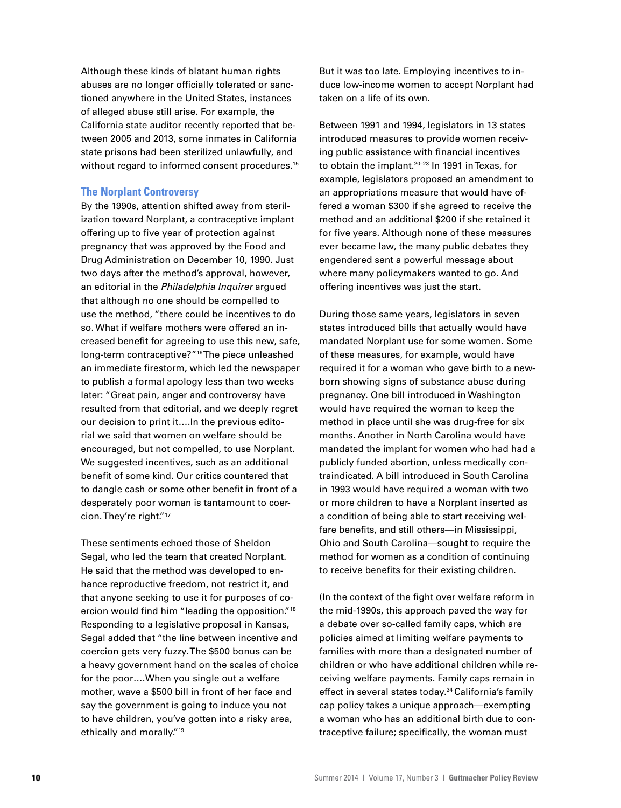Although these kinds of blatant human rights abuses are no longer officially tolerated or sanctioned anywhere in the United States, instances of alleged abuse still arise. For example, the California state auditor recently reported that between 2005 and 2013, some inmates in California state prisons had been sterilized unlawfully, and without regard to informed consent procedures.<sup>15</sup>

## **The Norplant Controversy**

By the 1990s, attention shifted away from sterilization toward Norplant, a contraceptive implant offering up to five year of protection against pregnancy that was approved by the Food and Drug Administration on December 10, 1990. Just two days after the method's approval, however, an editorial in the *Philadelphia Inquirer* argued that although no one should be compelled to use the method, "there could be incentives to do so. What if welfare mothers were offered an increased benefit for agreeing to use this new, safe, long-term contraceptive?"<sup>16</sup>The piece unleashed an immediate firestorm, which led the newspaper to publish a formal apology less than two weeks later: "Great pain, anger and controversy have resulted from that editorial, and we deeply regret our decision to print it….In the previous editorial we said that women on welfare should be encouraged, but not compelled, to use Norplant. We suggested incentives, such as an additional benefit of some kind. Our critics countered that to dangle cash or some other benefit in front of a desperately poor woman is tantamount to coercion. They're right."17

These sentiments echoed those of Sheldon Segal, who led the team that created Norplant. He said that the method was developed to enhance reproductive freedom, not restrict it, and that anyone seeking to use it for purposes of coercion would find him "leading the opposition."18 Responding to a legislative proposal in Kansas, Segal added that "the line between incentive and coercion gets very fuzzy. The \$500 bonus can be a heavy government hand on the scales of choice for the poor….When you single out a welfare mother, wave a \$500 bill in front of her face and say the government is going to induce you not to have children, you've gotten into a risky area, ethically and morally."19

But it was too late. Employing incentives to induce low-income women to accept Norplant had taken on a life of its own.

Between 1991 and 1994, legislators in 13 states introduced measures to provide women receiving public assistance with financial incentives to obtain the implant.20–23 In 1991 in Texas, for example, legislators proposed an amendment to an appropriations measure that would have offered a woman \$300 if she agreed to receive the method and an additional \$200 if she retained it for five years. Although none of these measures ever became law, the many public debates they engendered sent a powerful message about where many policymakers wanted to go. And offering incentives was just the start.

During those same years, legislators in seven states introduced bills that actually would have mandated Norplant use for some women. Some of these measures, for example, would have required it for a woman who gave birth to a newborn showing signs of substance abuse during pregnancy. One bill introduced in Washington would have required the woman to keep the method in place until she was drug-free for six months. Another in North Carolina would have mandated the implant for women who had had a publicly funded abortion, unless medically contraindicated. A bill introduced in South Carolina in 1993 would have required a woman with two or more children to have a Norplant inserted as a condition of being able to start receiving welfare benefits, and still others—in Mississippi, Ohio and South Carolina—sought to require the method for women as a condition of continuing to receive benefits for their existing children.

(In the context of the fight over welfare reform in the mid-1990s, this approach paved the way for a debate over so-called family caps, which are policies aimed at limiting welfare payments to families with more than a designated number of children or who have additional children while receiving welfare payments. Family caps remain in effect in several states today.<sup>24</sup> California's family cap policy takes a unique approach—exempting a woman who has an additional birth due to contraceptive failure; specifically, the woman must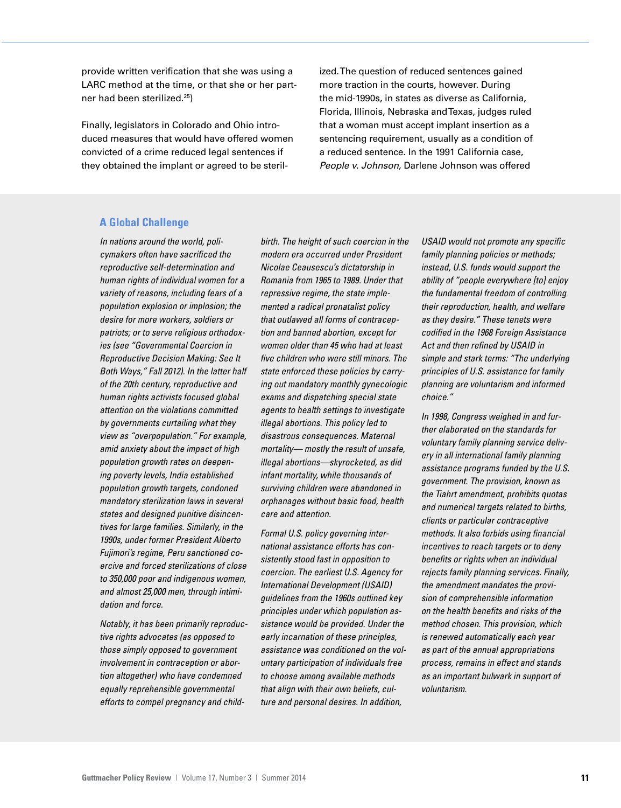provide written verification that she was using a LARC method at the time, or that she or her partner had been sterilized.25)

Finally, legislators in Colorado and Ohio introduced measures that would have offered women convicted of a crime reduced legal sentences if they obtained the implant or agreed to be sterilized. The question of reduced sentences gained more traction in the courts, however. During the mid-1990s, in states as diverse as California, Florida, Illinois, Nebraska and Texas, judges ruled that a woman must accept implant insertion as a sentencing requirement, usually as a condition of a reduced sentence. In the 1991 California case, *People v. Johnson,* Darlene Johnson was offered

## **A Global Challenge**

*In nations around the world, policymakers often have sacrificed the reproductive self-determination and human rights of individual women for a variety of reasons, including fears of a population explosion or implosion; the desire for more workers, soldiers or patriots; or to serve religious orthodoxies (see "Governmental Coercion in Reproductive Decision Making: See It Both Ways," Fall 2012). In the latter half of the 20th century, reproductive and human rights activists focused global attention on the violations committed by governments curtailing what they view as "overpopulation." For example, amid anxiety about the impact of high population growth rates on deepening poverty levels, India established population growth targets, condoned mandatory sterilization laws in several states and designed punitive disincentives for large families. Similarly, in the 1990s, under former President Alberto Fujimori's regime, Peru sanctioned coercive and forced sterilizations of close to 350,000 poor and indigenous women, and almost 25,000 men, through intimidation and force.* 

*Notably, it has been primarily reproductive rights advocates (as opposed to those simply opposed to government involvement in contraception or abortion altogether) who have condemned equally reprehensible governmental efforts to compel pregnancy and child-* *birth. The height of such coercion in the modern era occurred under President Nicolae Ceausescu's dictatorship in Romania from 1965 to 1989. Under that repressive regime, the state implemented a radical pronatalist policy that outlawed all forms of contraception and banned abortion, except for women older than 45 who had at least five children who were still minors. The state enforced these policies by carrying out mandatory monthly gynecologic exams and dispatching special state agents to health settings to investigate illegal abortions. This policy led to disastrous consequences. Maternal mortality— mostly the result of unsafe, illegal abortions—skyrocketed, as did infant mortality, while thousands of surviving children were abandoned in orphanages without basic food, health care and attention.*

*Formal U.S. policy governing international assistance efforts has consistently stood fast in opposition to coercion. The earliest U.S. Agency for International Development (USAID) guidelines from the 1960s outlined key principles under which population assistance would be provided. Under the early incarnation of these principles, assistance was conditioned on the voluntary participation of individuals free to choose among available methods that align with their own beliefs, culture and personal desires. In addition,* 

*USAID would not promote any specific family planning policies or methods; instead, U.S. funds would support the ability of "people everywhere [to] enjoy the fundamental freedom of controlling their reproduction, health, and welfare as they desire." These tenets were codified in the 1968 Foreign Assistance Act and then refined by USAID in simple and stark terms: "The underlying principles of U.S. assistance for family planning are voluntarism and informed choice."*

*In 1998, Congress weighed in and further elaborated on the standards for voluntary family planning service delivery in all international family planning assistance programs funded by the U.S. government. The provision, known as the Tiahrt amendment, prohibits quotas and numerical targets related to births, clients or particular contraceptive methods. It also forbids using financial incentives to reach targets or to deny benefits or rights when an individual rejects family planning services. Finally, the amendment mandates the provision of comprehensible information on the health benefits and risks of the method chosen. This provision, which is renewed automatically each year as part of the annual appropriations process, remains in effect and stands as an important bulwark in support of voluntarism.*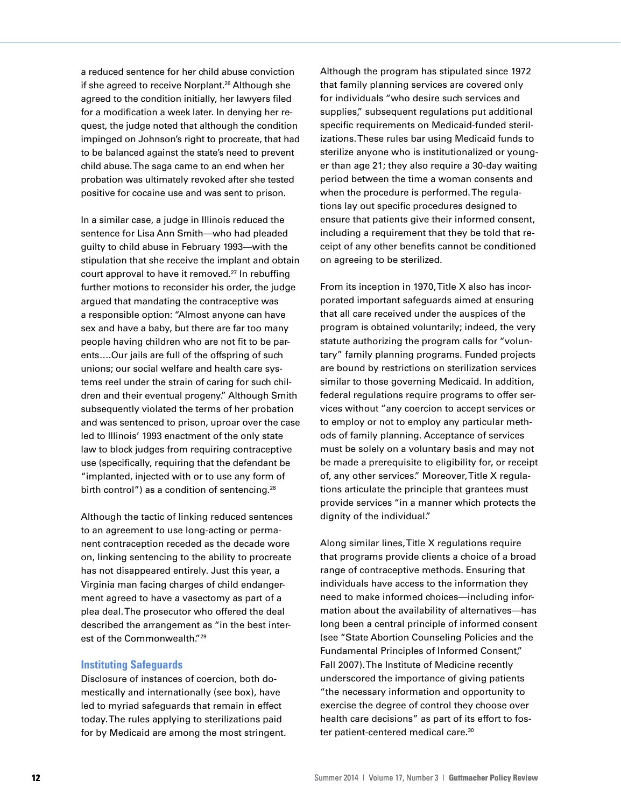a reduced sentence for her child abuse conviction if she agreed to receive Norplant.<sup>26</sup> Although she agreed to the condition initially, her lawyers filed for a modification a week later. In denying her request, the judge noted that although the condition impinged on Johnson's right to procreate, that had to be balanced against the state's need to prevent child abuse. The saga came to an end when her probation was ultimately revoked after she tested positive for cocaine use and was sent to prison.

In a similar case, a judge in Illinois reduced the sentence for Lisa Ann Smith—who had pleaded guilty to child abuse in February 1993—with the stipulation that she receive the implant and obtain court approval to have it removed.<sup>27</sup> In rebuffing further motions to reconsider his order, the judge argued that mandating the contraceptive was a responsible option: "Almost anyone can have sex and have a baby, but there are far too many people having children who are not fit to be parents….Our jails are full of the offspring of such unions; our social welfare and health care systems reel under the strain of caring for such children and their eventual progeny." Although Smith subsequently violated the terms of her probation and was sentenced to prison, uproar over the case led to Illinois' 1993 enactment of the only state law to block judges from requiring contraceptive use (specifically, requiring that the defendant be "implanted, injected with or to use any form of birth control") as a condition of sentencing.<sup>28</sup>

Although the tactic of linking reduced sentences to an agreement to use long-acting or permanent contraception receded as the decade wore on, linking sentencing to the ability to procreate has not disappeared entirely. Just this year, a Virginia man facing charges of child endangerment agreed to have a vasectomy as part of a plea deal. The prosecutor who offered the deal described the arrangement as "in the best interest of the Commonwealth."<sup>29</sup>

## **Instituting Safeguards**

Disclosure of instances of coercion, both domestically and internationally (see box), have led to myriad safeguards that remain in effect today. The rules applying to sterilizations paid for by Medicaid are among the most stringent. Although the program has stipulated since 1972 that family planning services are covered only for individuals "who desire such services and supplies," subsequent regulations put additional specific requirements on Medicaid-funded sterilizations. These rules bar using Medicaid funds to sterilize anyone who is institutionalized or younger than age 21; they also require a 30-day waiting period between the time a woman consents and when the procedure is performed. The regulations lay out specific procedures designed to ensure that patients give their informed consent, including a requirement that they be told that receipt of any other benefits cannot be conditioned on agreeing to be sterilized.

From its inception in 1970, Title X also has incorporated important safeguards aimed at ensuring that all care received under the auspices of the program is obtained voluntarily; indeed, the very statute authorizing the program calls for "voluntary" family planning programs. Funded projects are bound by restrictions on sterilization services similar to those governing Medicaid. In addition, federal regulations require programs to offer services without "any coercion to accept services or to employ or not to employ any particular methods of family planning. Acceptance of services must be solely on a voluntary basis and may not be made a prerequisite to eligibility for, or receipt of, any other services." Moreover, Title X regulations articulate the principle that grantees must provide services "in a manner which protects the dignity of the individual."

Along similar lines, Title X regulations require that programs provide clients a choice of a broad range of contraceptive methods. Ensuring that individuals have access to the information they need to make informed choices—including information about the availability of alternatives—has long been a central principle of informed consent (see "State Abortion Counseling Policies and the Fundamental Principles of Informed Consent," Fall 2007). The Institute of Medicine recently underscored the importance of giving patients "the necessary information and opportunity to exercise the degree of control they choose over health care decisions" as part of its effort to foster patient-centered medical care.<sup>30</sup>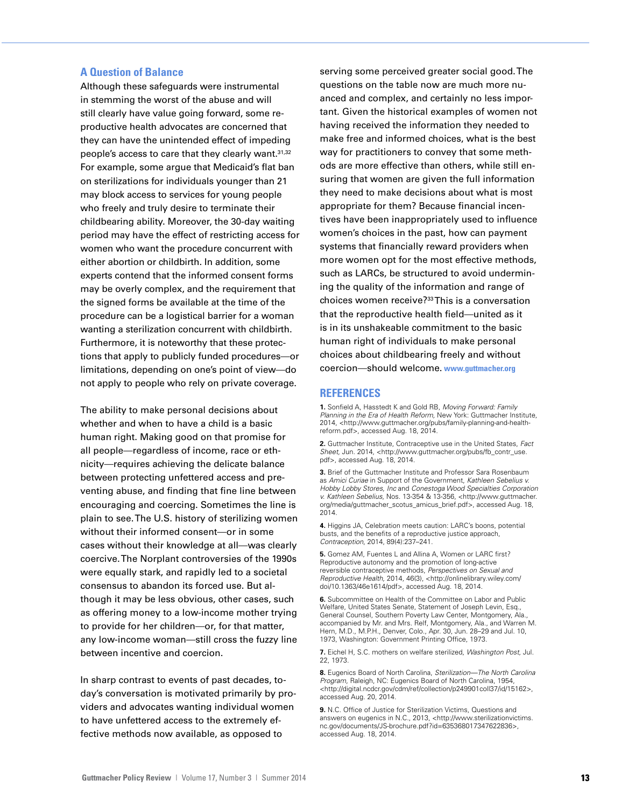## **A Question of Balance**

Although these safeguards were instrumental in stemming the worst of the abuse and will still clearly have value going forward, some reproductive health advocates are concerned that they can have the unintended effect of impeding people's access to care that they clearly want.<sup>31,32</sup> For example, some argue that Medicaid's flat ban on sterilizations for individuals younger than 21 may block access to services for young people who freely and truly desire to terminate their childbearing ability. Moreover, the 30-day waiting period may have the effect of restricting access for women who want the procedure concurrent with either abortion or childbirth. In addition, some experts contend that the informed consent forms may be overly complex, and the requirement that the signed forms be available at the time of the procedure can be a logistical barrier for a woman wanting a sterilization concurrent with childbirth. Furthermore, it is noteworthy that these protections that apply to publicly funded procedures—or limitations, depending on one's point of view—do not apply to people who rely on private coverage.

The ability to make personal decisions about whether and when to have a child is a basic human right. Making good on that promise for all people—regardless of income, race or ethnicity—requires achieving the delicate balance between protecting unfettered access and preventing abuse, and finding that fine line between encouraging and coercing. Sometimes the line is plain to see. The U.S. history of sterilizing women without their informed consent—or in some cases without their knowledge at all—was clearly coercive. The Norplant controversies of the 1990s were equally stark, and rapidly led to a societal consensus to abandon its forced use. But although it may be less obvious, other cases, such as offering money to a low-income mother trying to provide for her children—or, for that matter, any low-income woman—still cross the fuzzy line between incentive and coercion.

In sharp contrast to events of past decades, today's conversation is motivated primarily by providers and advocates wanting individual women to have unfettered access to the extremely effective methods now available, as opposed to

serving some perceived greater social good. The questions on the table now are much more nuanced and complex, and certainly no less important. Given the historical examples of women not having received the information they needed to make free and informed choices, what is the best way for practitioners to convey that some methods are more effective than others, while still ensuring that women are given the full information they need to make decisions about what is most appropriate for them? Because financial incentives have been inappropriately used to influence women's choices in the past, how can payment systems that financially reward providers when more women opt for the most effective methods, such as LARCs, be structured to avoid undermining the quality of the information and range of choices women receive?33 This is a conversation that the reproductive health field—united as it is in its unshakeable commitment to the basic human right of individuals to make personal choices about childbearing freely and without coercion—should welcome. **www.guttmacher.org**

## **REFERENCES**

**1.** Sonfield A, Hasstedt K and Gold RB, *Moving Forward: Family Planning in the Era of Health Reform,* New York: Guttmacher Institute, 2014, <http://www.guttmacher.org/pubs/family-planning-and-healthreform.pdf>, accessed Aug. 18, 2014.

**2.** Guttmacher Institute, Contraceptive use in the United States, *Fact Sheet,* Jun. 2014, <http://www.guttmacher.org/pubs/fb\_contr\_use. pdf>, accessed Aug. 18, 2014.

**3.** Brief of the Guttmacher Institute and Professor Sara Rosenbaum as *Amici Curiae* in Support of the Government, *Kathleen Sebelius v. Hobby Lobby Stores, Inc* and *Conestoga Wood Specialties Corporation v. Kathleen Sebelius*, Nos. 13-354 & 13-356, <http://www.guttmacher. org/media/guttmacher\_scotus\_amicus\_brief.pdf>, accessed Aug. 18, 2014.

**4.** Higgins JA, Celebration meets caution: LARC's boons, potential busts, and the benefits of a reproductive justice approach, *Contraception*, 2014, 89(4):237–241.

**5.** Gomez AM, Fuentes L and Allina A, Women or LARC first? Reproductive autonomy and the promotion of long-active reversible contraceptive methods, *Perspectives on Sexual and Reproductive Health,* 2014, 46(3), <http://onlinelibrary.wiley.com/ doi/10.1363/46e1614/pdf>, accessed Aug. 18, 2014.

**6.** Subcommittee on Health of the Committee on Labor and Public Welfare, United States Senate, Statement of Joseph Levin, Esq. General Counsel, Southern Poverty Law Center, Montgomery, Ala., accompanied by Mr. and Mrs. Relf, Montgomery, Ala., and Warren M. Hern, M.D., M.P.H., Denver, Colo., Apr. 30, Jun. 28–29 and Jul. 10, 1973, Washington: Government Printing Office, 1973.

**7.** Eichel H, S.C. mothers on welfare sterilized, *Washington Post*, Jul. 22, 1973.

**8.** Eugenics Board of North Carolina, *Sterilization—The North Carolina Program,* Raleigh, NC: Eugenics Board of North Carolina, 1954, <http://digital.ncdcr.gov/cdm/ref/collection/p249901coll37/id/15162>, accessed Aug. 20, 2014.

**9.** N.C. Office of Justice for Sterilization Victims, Questions and answers on eugenics in N.C., 2013, <http://www.sterilizationvictims. nc.gov/documents/JS-brochure.pdf?id=635368017347622836>, accessed Aug. 18, 2014.